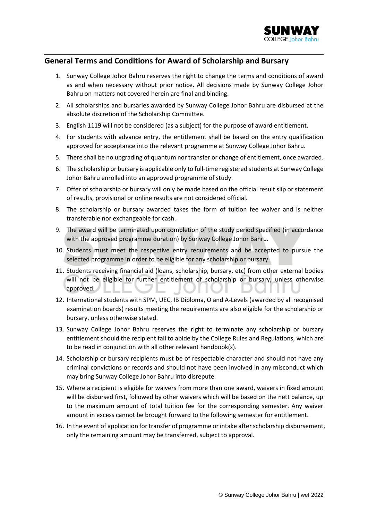

## **General Terms and Conditions for Award of Scholarship and Bursary**

- 1. Sunway College Johor Bahru reserves the right to change the terms and conditions of award as and when necessary without prior notice. All decisions made by Sunway College Johor Bahru on matters not covered herein are final and binding.
- 2. All scholarships and bursaries awarded by Sunway College Johor Bahru are disbursed at the absolute discretion of the Scholarship Committee.
- 3. English 1119 will not be considered (as a subject) for the purpose of award entitlement.
- 4. For students with advance entry, the entitlement shall be based on the entry qualification approved for acceptance into the relevant programme at Sunway College Johor Bahru.
- 5. There shall be no upgrading of quantum nor transfer or change of entitlement, once awarded.
- 6. The scholarship or bursary is applicable only to full-time registered students at Sunway College Johor Bahru enrolled into an approved programme of study.
- 7. Offer of scholarship or bursary will only be made based on the official result slip or statement of results, provisional or online results are not considered official.
- 8. The scholarship or bursary awarded takes the form of tuition fee waiver and is neither transferable nor exchangeable for cash.
- 9. The award will be terminated upon completion of the study period specified (in accordance with the approved programme duration) by Sunway College Johor Bahru.
- 10. Students must meet the respective entry requirements and be accepted to pursue the selected programme in order to be eligible for any scholarship or bursary.
- 11. Students receiving financial aid (loans, scholarship, bursary, etc) from other external bodies will not be eligible for further entitlement of scholarship or bursary, unless otherwise approved.  $\overline{\phantom{a}}$ ,,,, л ו ע
- 12. International students with SPM, UEC, IB Diploma, O and A-Levels (awarded by all recognised examination boards) results meeting the requirements are also eligible for the scholarship or bursary, unless otherwise stated.
- 13. Sunway College Johor Bahru reserves the right to terminate any scholarship or bursary entitlement should the recipient fail to abide by the College Rules and Regulations, which are to be read in conjunction with all other relevant handbook(s).
- 14. Scholarship or bursary recipients must be of respectable character and should not have any criminal convictions or records and should not have been involved in any misconduct which may bring Sunway College Johor Bahru into disrepute.
- 15. Where a recipient is eligible for waivers from more than one award, waivers in fixed amount will be disbursed first, followed by other waivers which will be based on the nett balance, up to the maximum amount of total tuition fee for the corresponding semester. Any waiver amount in excess cannot be brought forward to the following semester for entitlement.
- 16. In the event of application for transfer of programme or intake after scholarship disbursement, only the remaining amount may be transferred, subject to approval.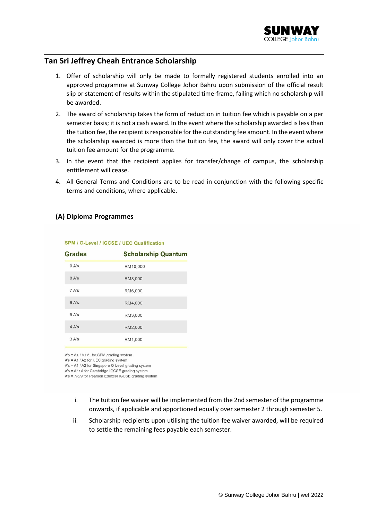

## **Tan Sri Jeffrey Cheah Entrance Scholarship**

- 1. Offer of scholarship will only be made to formally registered students enrolled into an approved programme at Sunway College Johor Bahru upon submission of the official result slip or statement of results within the stipulated time-frame, failing which no scholarship will be awarded.
- 2. The award of scholarship takes the form of reduction in tuition fee which is payable on a per semester basis; it is not a cash award. In the event where the scholarship awarded is less than the tuition fee, the recipient is responsible for the outstanding fee amount. In the event where the scholarship awarded is more than the tuition fee, the award will only cover the actual tuition fee amount for the programme.
- 3. In the event that the recipient applies for transfer/change of campus, the scholarship entitlement will cease.
- 4. All General Terms and Conditions are to be read in conjunction with the following specific terms and conditions, where applicable.

### **(A) Diploma Programmes**

| <b>Grades</b> | <b>Scholarship Quantum</b> |
|---------------|----------------------------|
| 9A's          | RM10,000                   |
| 8A's          | RM8,000                    |
| 7 A's         | RM6,000                    |
| 6A's          | RM4,000                    |
| 5A's          | RM3,000                    |
| 4 A's         | RM2,000                    |
| 3A's          | RM1,000                    |

### SPM / O-Level / IGCSE / UEC Qualification

 $A's = A + / A / A$ - for SPM grading system

 $A's = A1 / A2$  for UEC grading system

A's = A1 / A2 for Singapore O-Level grading system

 $A's = A^* / A$  for Cambridge IGCSE grading system A's = 7/8/9 for Pearson Edexcel IGCSE grading system

- i. The tuition fee waiver will be implemented from the 2nd semester of the programme
- onwards, if applicable and apportioned equally over semester 2 through semester 5.
- ii. Scholarship recipients upon utilising the tuition fee waiver awarded, will be required to settle the remaining fees payable each semester.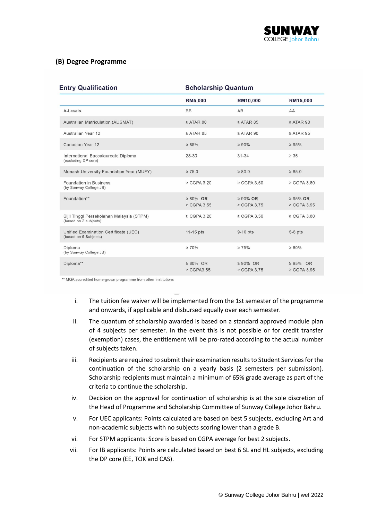

## **(B) Degree Programme**

| <b>Entry Qualification</b>                                         | <b>Scholarship Quantum</b>         |                                    |                                    |
|--------------------------------------------------------------------|------------------------------------|------------------------------------|------------------------------------|
|                                                                    | <b>RM5,000</b>                     | RM10,000                           | RM15,000                           |
| A-Levels                                                           | <b>BB</b>                          | AB                                 | AA                                 |
| <b>Australian Matriculation (AUSMAT)</b>                           | $\geq$ ATAR 80                     | $\geq$ ATAR 85                     | $\geq$ ATAR 90                     |
| Australian Year 12                                                 | $\geq$ ATAR 85                     | $\geq$ ATAR 90                     | $\geq$ ATAR 95                     |
| Canadian Year 12                                                   | $\geq 85\%$                        | $\geq 90\%$                        | $\geq 95\%$                        |
| International Baccalaureate Diploma<br>(excluding DP core)         | 28-30                              | $31 - 34$                          | $\geq 35$                          |
| Monash University Foundation Year (MUFY)                           | $\geq 75.0$                        | $\geq 80.0$                        | $\geq 85.0$                        |
| Foundation in Business<br>(by Sunway College JB)                   | $\geq$ CGPA 3.20                   | $\geq$ CGPA 3.50                   | $\geq$ CGPA 3.80                   |
| Foundation**                                                       | $\geq 80\%$ OR<br>$\geq$ CGPA 3.55 | $\geq 90\%$ OR<br>$\geq$ CGPA 3.75 | $\geq$ 95% OR<br>$\geq$ CGPA 3.95  |
| Sijil Tinggi Persekolahan Malaysia (STPM)<br>(based on 2 subjects) | $\geq$ CGPA 3.20                   | $\geq$ CGPA 3.50                   | $\geq$ CGPA 3.80                   |
| Unified Examination Certificate (UEC)<br>(based on 5 Subjects)     | 11-15 pts                          | 9-10 pts                           | $5-8$ pts                          |
| Diploma<br>(by Sunway College JB)                                  | $\geq 70\%$                        | $\geq 75\%$                        | $\geq 80\%$                        |
| Diploma**                                                          | $\geq 80\%$ OR<br>$\geq$ CGPA3.55  | $\geq 90\%$ OR<br>$\geq$ CGPA 3.75 | $\geq 95\%$ OR<br>$\geq$ CGPA 3.95 |

\*\* MQA accredited home-grown programme from other institutions

- i. The tuition fee waiver will be implemented from the 1st semester of the programme and onwards, if applicable and disbursed equally over each semester.
- ii. The quantum of scholarship awarded is based on a standard approved module plan of 4 subjects per semester. In the event this is not possible or for credit transfer (exemption) cases, the entitlement will be pro-rated according to the actual number of subjects taken.
- iii. Recipients are required to submit their examination results to Student Services for the continuation of the scholarship on a yearly basis (2 semesters per submission). Scholarship recipients must maintain a minimum of 65% grade average as part of the criteria to continue the scholarship.
- iv. Decision on the approval for continuation of scholarship is at the sole discretion of the Head of Programme and Scholarship Committee of Sunway College Johor Bahru.
- v. For UEC applicants: Points calculated are based on best 5 subjects, excluding Art and non-academic subjects with no subjects scoring lower than a grade B.
- vi. For STPM applicants: Score is based on CGPA average for best 2 subjects.
- vii. For IB applicants: Points are calculated based on best 6 SL and HL subjects, excluding the DP core (EE, TOK and CAS).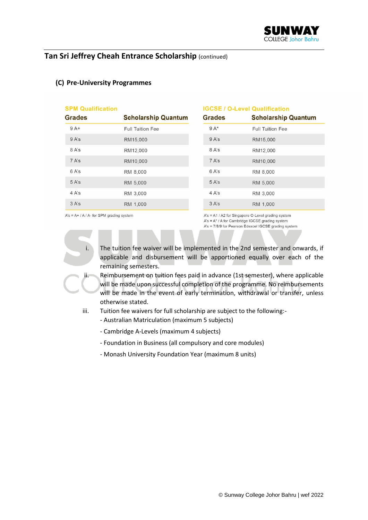# **Tan Sri Jeffrey Cheah Entrance Scholarship** (continued)

| <b>SPM Qualification</b><br><b>Grades</b> | <b>Scholarship Quantum</b> | <b>IGCSE / O-Level Qualification</b><br><b>Grades</b> | <b>Scholarship Quantum</b> |
|-------------------------------------------|----------------------------|-------------------------------------------------------|----------------------------|
| $9A+$                                     | <b>Full Tuition Fee</b>    | $9A*$                                                 | <b>Full Tuition Fee</b>    |
| 9A's                                      | RM15,000                   | 9A's                                                  | RM15,000                   |
| 8 A's                                     | RM12,000                   | 8 A's                                                 | RM12,000                   |
| 7 A's                                     | RM10,000                   | 7 A's                                                 | RM10,000                   |
| 6 A's                                     | RM 8,000                   | 6 A's                                                 | RM 8,000                   |
| 5 A's                                     | RM 5,000                   | 5 A's                                                 | RM 5,000                   |
| 4 A's                                     | RM 3,000                   | 4 A's                                                 | RM 3,000                   |
| 3 A's                                     | RM 1,000                   | 3 A's                                                 | RM 1,000                   |

### **(C) Pre-University Programmes**

 $A's = A + / A / A$ - for SPM grading system

A's = A1 / A2 for Singapore O-Level grading system  $A's = A^* / A$  for Cambridge IGCSE grading system  $A's = 7/8/9$  for Pearson Edexcel IGCSE grading system

i. The tuition fee waiver will be implemented in the 2nd semester and onwards, if applicable and disbursement will be apportioned equally over each of the remaining semesters.

- ii. Reimbursement on tuition fees paid in advance (1st semester), where applicable will be made upon successful completion of the programme. No reimbursements will be made in the event of early termination, withdrawal or transfer, unless otherwise stated.
- iii. Tuition fee waivers for full scholarship are subject to the following:-
	- Australian Matriculation (maximum 5 subjects)
	- Cambridge A-Levels (maximum 4 subjects)
	- Foundation in Business (all compulsory and core modules)
	- Monash University Foundation Year (maximum 8 units)